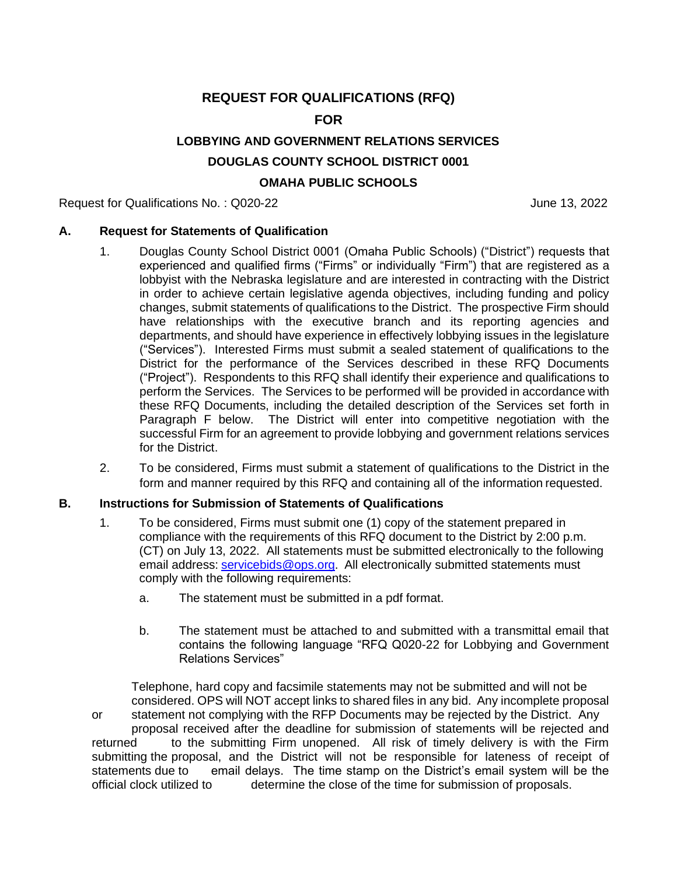## **REQUEST FOR QUALIFICATIONS (RFQ)**

## **FOR**

## **LOBBYING AND GOVERNMENT RELATIONS SERVICES**

### **DOUGLAS COUNTY SCHOOL DISTRICT 0001**

## **OMAHA PUBLIC SCHOOLS**

Request for Qualifications No.: Q020-22 June 13, 2022

#### **A. Request for Statements of Qualification**

- 1. Douglas County School District 0001 (Omaha Public Schools) ("District") requests that experienced and qualified firms ("Firms" or individually "Firm") that are registered as a lobbyist with the Nebraska legislature and are interested in contracting with the District in order to achieve certain legislative agenda objectives, including funding and policy changes, submit statements of qualifications to the District. The prospective Firm should have relationships with the executive branch and its reporting agencies and departments, and should have experience in effectively lobbying issues in the legislature ("Services"). Interested Firms must submit a sealed statement of qualifications to the District for the performance of the Services described in these RFQ Documents ("Project"). Respondents to this RFQ shall identify their experience and qualifications to perform the Services. The Services to be performed will be provided in accordance with these RFQ Documents, including the detailed description of the Services set forth in Paragraph F below. The District will enter into competitive negotiation with the successful Firm for an agreement to provide lobbying and government relations services for the District.
- 2. To be considered, Firms must submit a statement of qualifications to the District in the form and manner required by this RFQ and containing all of the information requested.

#### **B. Instructions for Submission of Statements of Qualifications**

- 1. To be considered, Firms must submit one (1) copy of the statement prepared in compliance with the requirements of this RFQ document to the District by 2:00 p.m. (CT) on July 13, 2022. All statements must be submitted electronically to the following email address: [servicebids@ops.org.](mailto:servicebids@ops.org) All electronically submitted statements must comply with the following requirements:
	- a. The statement must be submitted in a pdf format.
	- b. The statement must be attached to and submitted with a transmittal email that contains the following language "RFQ Q020-22 for Lobbying and Government Relations Services"

Telephone, hard copy and facsimile statements may not be submitted and will not be considered. OPS will NOT accept links to shared files in any bid. Any incomplete proposal or statement not complying with the RFP Documents may be rejected by the District. Any proposal received after the deadline for submission of statements will be rejected and returned to the submitting Firm unopened. All risk of timely delivery is with the Firm submitting the proposal, and the District will not be responsible for lateness of receipt of statements due to email delays. The time stamp on the District's email system will be the official clock utilized to determine the close of the time for submission of proposals. determine the close of the time for submission of proposals.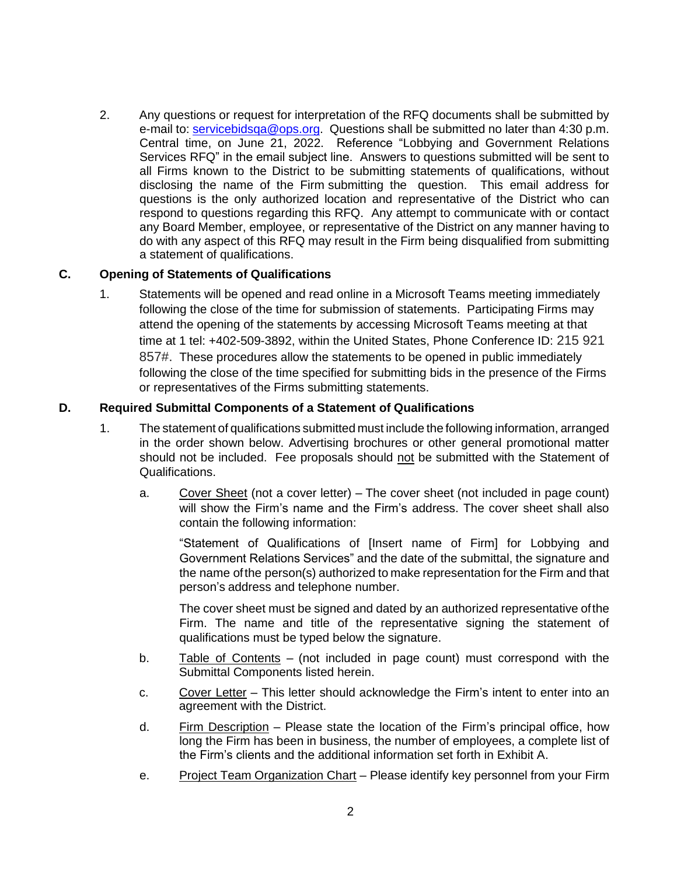2. Any questions or request for interpretation of the RFQ documents shall be submitted by e-mail to: [servicebidsqa@ops.org.](mailto:servicebidsqa@ops.org) Questions shall be submitted no later than 4:30 p.m. Central time, on June 21, 2022. Reference "Lobbying and Government Relations Services RFQ" in the email subject line. Answers to questions submitted will be sent to all Firms known to the District to be submitting statements of qualifications, without disclosing the name of the Firm submitting the question. This email address for questions is the only authorized location and representative of the District who can respond to questions regarding this RFQ. Any attempt to communicate with or contact any Board Member, employee, or representative of the District on any manner having to do with any aspect of this RFQ may result in the Firm being disqualified from submitting a statement of qualifications.

#### **C. Opening of Statements of Qualifications**

1. Statements will be opened and read online in a Microsoft Teams meeting immediately following the close of the time for submission of statements. Participating Firms may attend the opening of the statements by accessing Microsoft Teams meeting at that time at 1 tel: +402-509-3892, within the United States, Phone Conference ID: 215 921 857#. These procedures allow the statements to be opened in public immediately following the close of the time specified for submitting bids in the presence of the Firms or representatives of the Firms submitting statements.

#### **D. Required Submittal Components of a Statement of Qualifications**

- 1. The statement of qualifications submitted must include the following information, arranged in the order shown below. Advertising brochures or other general promotional matter should not be included. Fee proposals should not be submitted with the Statement of Qualifications.
	- a. Cover Sheet (not a cover letter) The cover sheet (not included in page count) will show the Firm's name and the Firm's address. The cover sheet shall also contain the following information:

"Statement of Qualifications of [Insert name of Firm] for Lobbying and Government Relations Services" and the date of the submittal, the signature and the name ofthe person(s) authorized to make representation for the Firm and that person's address and telephone number.

The cover sheet must be signed and dated by an authorized representative ofthe Firm. The name and title of the representative signing the statement of qualifications must be typed below the signature.

- b. Table of Contents (not included in page count) must correspond with the Submittal Components listed herein.
- c. Cover Letter This letter should acknowledge the Firm's intent to enter into an agreement with the District.
- d. Firm Description Please state the location of the Firm's principal office, how long the Firm has been in business, the number of employees, a complete list of the Firm's clients and the additional information set forth in Exhibit A.
- e. Project Team Organization Chart Please identify key personnel from your Firm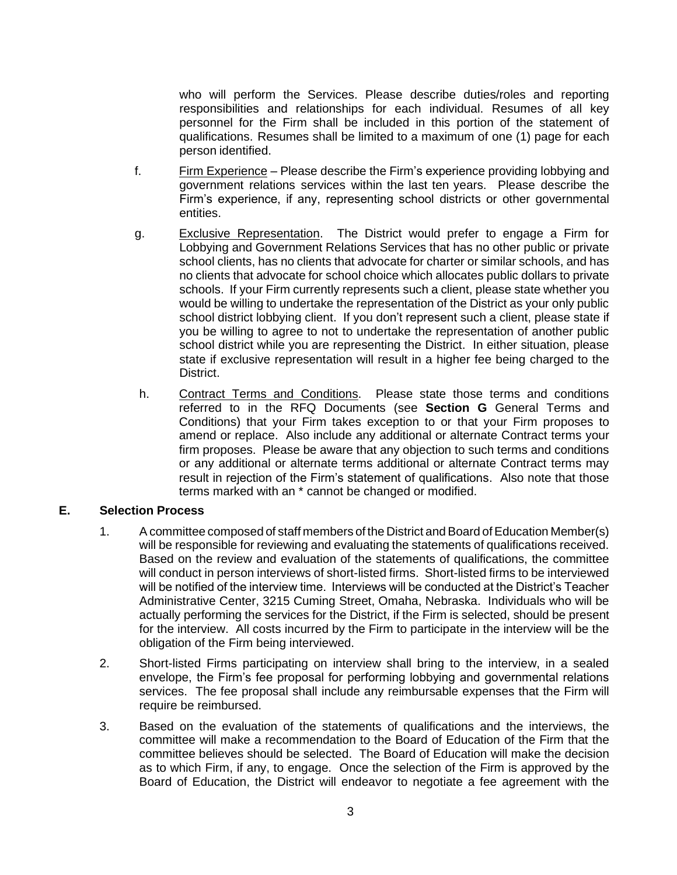who will perform the Services. Please describe duties/roles and reporting responsibilities and relationships for each individual. Resumes of all key personnel for the Firm shall be included in this portion of the statement of qualifications. Resumes shall be limited to a maximum of one (1) page for each person identified.

- f. Firm Experience Please describe the Firm's experience providing lobbying and government relations services within the last ten years. Please describe the Firm's experience, if any, representing school districts or other governmental entities.
- g. Exclusive Representation. The District would prefer to engage a Firm for Lobbying and Government Relations Services that has no other public or private school clients, has no clients that advocate for charter or similar schools, and has no clients that advocate for school choice which allocates public dollars to private schools. If your Firm currently represents such a client, please state whether you would be willing to undertake the representation of the District as your only public school district lobbying client. If you don't represent such a client, please state if you be willing to agree to not to undertake the representation of another public school district while you are representing the District. In either situation, please state if exclusive representation will result in a higher fee being charged to the District.
- h. Contract Terms and Conditions. Please state those terms and conditions referred to in the RFQ Documents (see **Section G** General Terms and Conditions) that your Firm takes exception to or that your Firm proposes to amend or replace. Also include any additional or alternate Contract terms your firm proposes. Please be aware that any objection to such terms and conditions or any additional or alternate terms additional or alternate Contract terms may result in rejection of the Firm's statement of qualifications. Also note that those terms marked with an \* cannot be changed or modified.

#### **E. Selection Process**

- 1. A committee composed of staff members of the District and Board of Education Member(s) will be responsible for reviewing and evaluating the statements of qualifications received. Based on the review and evaluation of the statements of qualifications, the committee will conduct in person interviews of short-listed firms. Short-listed firms to be interviewed will be notified of the interview time. Interviews will be conducted at the District's Teacher Administrative Center, 3215 Cuming Street, Omaha, Nebraska. Individuals who will be actually performing the services for the District, if the Firm is selected, should be present for the interview. All costs incurred by the Firm to participate in the interview will be the obligation of the Firm being interviewed.
- 2. Short-listed Firms participating on interview shall bring to the interview, in a sealed envelope, the Firm's fee proposal for performing lobbying and governmental relations services. The fee proposal shall include any reimbursable expenses that the Firm will require be reimbursed.
- 3. Based on the evaluation of the statements of qualifications and the interviews, the committee will make a recommendation to the Board of Education of the Firm that the committee believes should be selected. The Board of Education will make the decision as to which Firm, if any, to engage. Once the selection of the Firm is approved by the Board of Education, the District will endeavor to negotiate a fee agreement with the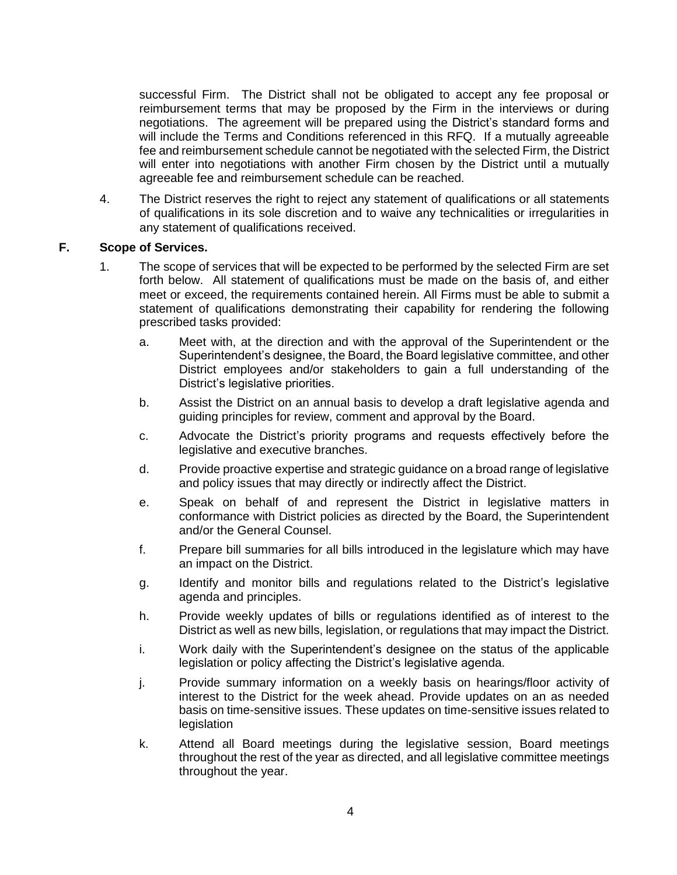successful Firm. The District shall not be obligated to accept any fee proposal or reimbursement terms that may be proposed by the Firm in the interviews or during negotiations. The agreement will be prepared using the District's standard forms and will include the Terms and Conditions referenced in this RFQ. If a mutually agreeable fee and reimbursement schedule cannot be negotiated with the selected Firm, the District will enter into negotiations with another Firm chosen by the District until a mutually agreeable fee and reimbursement schedule can be reached.

4. The District reserves the right to reject any statement of qualifications or all statements of qualifications in its sole discretion and to waive any technicalities or irregularities in any statement of qualifications received.

#### **F. Scope of Services.**

- 1. The scope of services that will be expected to be performed by the selected Firm are set forth below. All statement of qualifications must be made on the basis of, and either meet or exceed, the requirements contained herein. All Firms must be able to submit a statement of qualifications demonstrating their capability for rendering the following prescribed tasks provided:
	- a. Meet with, at the direction and with the approval of the Superintendent or the Superintendent's designee, the Board, the Board legislative committee, and other District employees and/or stakeholders to gain a full understanding of the District's legislative priorities.
	- b. Assist the District on an annual basis to develop a draft legislative agenda and guiding principles for review, comment and approval by the Board.
	- c. Advocate the District's priority programs and requests effectively before the legislative and executive branches.
	- d. Provide proactive expertise and strategic guidance on a broad range of legislative and policy issues that may directly or indirectly affect the District.
	- e. Speak on behalf of and represent the District in legislative matters in conformance with District policies as directed by the Board, the Superintendent and/or the General Counsel.
	- f. Prepare bill summaries for all bills introduced in the legislature which may have an impact on the District.
	- g. Identify and monitor bills and regulations related to the District's legislative agenda and principles.
	- h. Provide weekly updates of bills or regulations identified as of interest to the District as well as new bills, legislation, or regulations that may impact the District.
	- i. Work daily with the Superintendent's designee on the status of the applicable legislation or policy affecting the District's legislative agenda.
	- j. Provide summary information on a weekly basis on hearings/floor activity of interest to the District for the week ahead. Provide updates on an as needed basis on time-sensitive issues. These updates on time-sensitive issues related to legislation
	- k. Attend all Board meetings during the legislative session, Board meetings throughout the rest of the year as directed, and all legislative committee meetings throughout the year.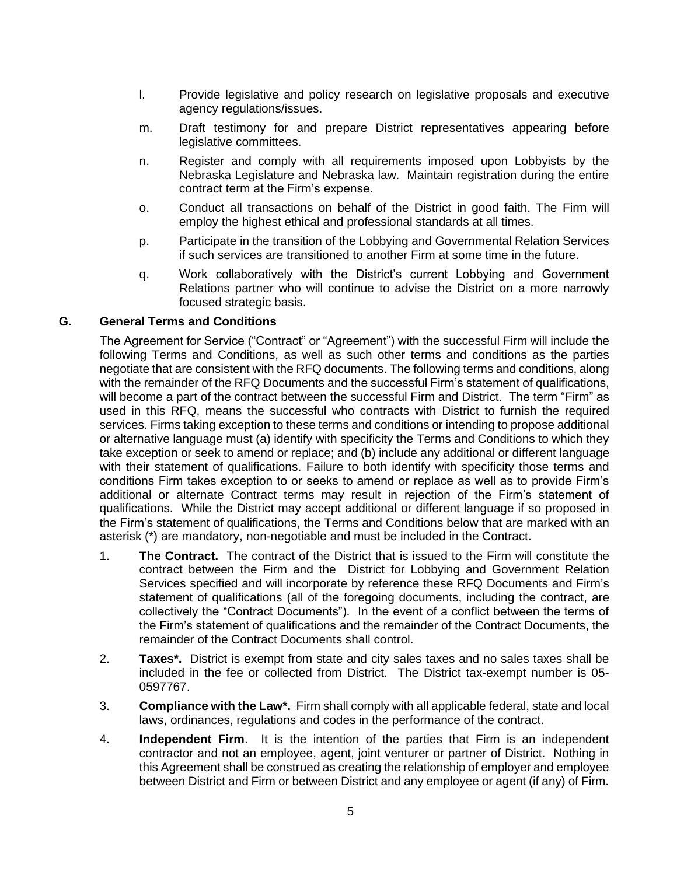- l. Provide legislative and policy research on legislative proposals and executive agency regulations/issues.
- m. Draft testimony for and prepare District representatives appearing before legislative committees.
- n. Register and comply with all requirements imposed upon Lobbyists by the Nebraska Legislature and Nebraska law. Maintain registration during the entire contract term at the Firm's expense.
- o. Conduct all transactions on behalf of the District in good faith. The Firm will employ the highest ethical and professional standards at all times.
- p. Participate in the transition of the Lobbying and Governmental Relation Services if such services are transitioned to another Firm at some time in the future.
- q. Work collaboratively with the District's current Lobbying and Government Relations partner who will continue to advise the District on a more narrowly focused strategic basis.

#### **G. General Terms and Conditions**

The Agreement for Service ("Contract" or "Agreement") with the successful Firm will include the following Terms and Conditions, as well as such other terms and conditions as the parties negotiate that are consistent with the RFQ documents. The following terms and conditions, along with the remainder of the RFQ Documents and the successful Firm's statement of qualifications, will become a part of the contract between the successful Firm and District. The term "Firm" as used in this RFQ, means the successful who contracts with District to furnish the required services. Firms taking exception to these terms and conditions or intending to propose additional or alternative language must (a) identify with specificity the Terms and Conditions to which they take exception or seek to amend or replace; and (b) include any additional or different language with their statement of qualifications. Failure to both identify with specificity those terms and conditions Firm takes exception to or seeks to amend or replace as well as to provide Firm's additional or alternate Contract terms may result in rejection of the Firm's statement of qualifications. While the District may accept additional or different language if so proposed in the Firm's statement of qualifications, the Terms and Conditions below that are marked with an asterisk (\*) are mandatory, non-negotiable and must be included in the Contract.

- 1. **The Contract.** The contract of the District that is issued to the Firm will constitute the contract between the Firm and the District for Lobbying and Government Relation Services specified and will incorporate by reference these RFQ Documents and Firm's statement of qualifications (all of the foregoing documents, including the contract, are collectively the "Contract Documents"). In the event of a conflict between the terms of the Firm's statement of qualifications and the remainder of the Contract Documents, the remainder of the Contract Documents shall control.
- 2. **Taxes\*.** District is exempt from state and city sales taxes and no sales taxes shall be included in the fee or collected from District. The District tax-exempt number is 05- 0597767.
- 3. **Compliance with the Law\*.** Firm shall comply with all applicable federal, state and local laws, ordinances, regulations and codes in the performance of the contract.
- 4. **Independent Firm**. It is the intention of the parties that Firm is an independent contractor and not an employee, agent, joint venturer or partner of District. Nothing in this Agreement shall be construed as creating the relationship of employer and employee between District and Firm or between District and any employee or agent (if any) of Firm.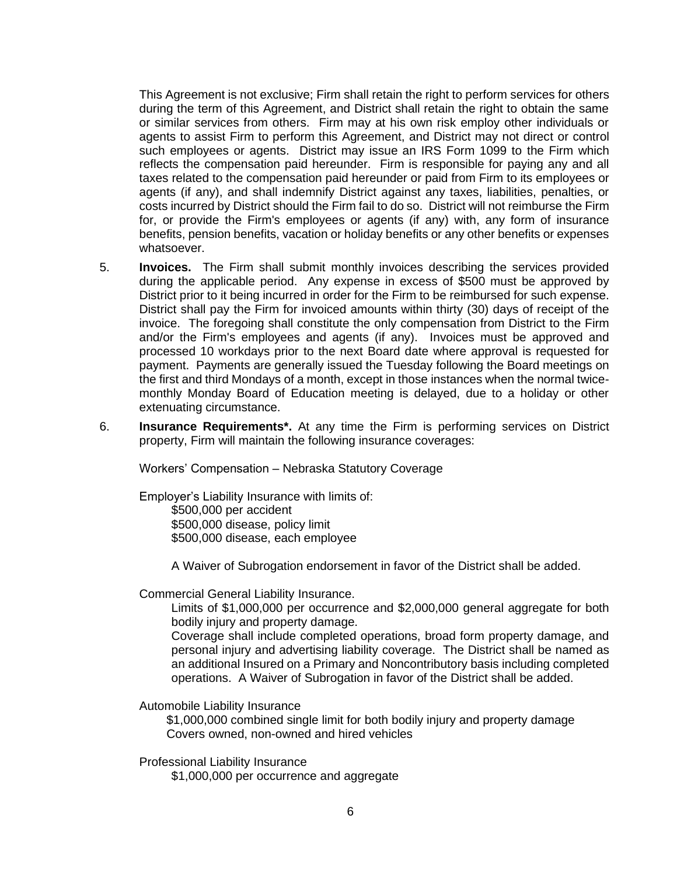This Agreement is not exclusive; Firm shall retain the right to perform services for others during the term of this Agreement, and District shall retain the right to obtain the same or similar services from others. Firm may at his own risk employ other individuals or agents to assist Firm to perform this Agreement, and District may not direct or control such employees or agents. District may issue an IRS Form 1099 to the Firm which reflects the compensation paid hereunder. Firm is responsible for paying any and all taxes related to the compensation paid hereunder or paid from Firm to its employees or agents (if any), and shall indemnify District against any taxes, liabilities, penalties, or costs incurred by District should the Firm fail to do so. District will not reimburse the Firm for, or provide the Firm's employees or agents (if any) with, any form of insurance benefits, pension benefits, vacation or holiday benefits or any other benefits or expenses whatsoever.

- 5. **Invoices.** The Firm shall submit monthly invoices describing the services provided during the applicable period. Any expense in excess of \$500 must be approved by District prior to it being incurred in order for the Firm to be reimbursed for such expense. District shall pay the Firm for invoiced amounts within thirty (30) days of receipt of the invoice. The foregoing shall constitute the only compensation from District to the Firm and/or the Firm's employees and agents (if any).Invoices must be approved and processed 10 workdays prior to the next Board date where approval is requested for payment. Payments are generally issued the Tuesday following the Board meetings on the first and third Mondays of a month, except in those instances when the normal twicemonthly Monday Board of Education meeting is delayed, due to a holiday or other extenuating circumstance.
- 6. **Insurance Requirements\*.** At any time the Firm is performing services on District property, Firm will maintain the following insurance coverages:

Workers' Compensation – Nebraska Statutory Coverage

Employer's Liability Insurance with limits of: \$500,000 per accident \$500,000 disease, policy limit \$500,000 disease, each employee

A Waiver of Subrogation endorsement in favor of the District shall be added.

Commercial General Liability Insurance.

Limits of \$1,000,000 per occurrence and \$2,000,000 general aggregate for both bodily injury and property damage.

Coverage shall include completed operations, broad form property damage, and personal injury and advertising liability coverage. The District shall be named as an additional Insured on a Primary and Noncontributory basis including completed operations. A Waiver of Subrogation in favor of the District shall be added.

Automobile Liability Insurance

\$1,000,000 combined single limit for both bodily injury and property damage Covers owned, non-owned and hired vehicles

Professional Liability Insurance

\$1,000,000 per occurrence and aggregate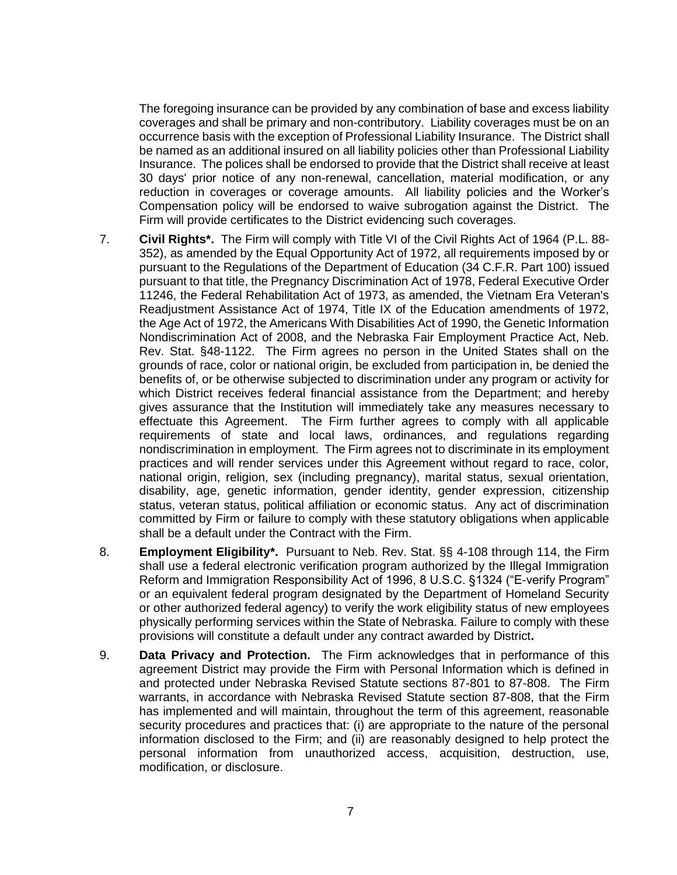The foregoing insurance can be provided by any combination of base and excess liability coverages and shall be primary and non-contributory. Liability coverages must be on an occurrence basis with the exception of Professional Liability Insurance. The District shall be named as an additional insured on all liability policies other than Professional Liability Insurance. The polices shall be endorsed to provide that the District shall receive at least 30 days' prior notice of any non-renewal, cancellation, material modification, or any reduction in coverages or coverage amounts. All liability policies and the Worker's Compensation policy will be endorsed to waive subrogation against the District. The Firm will provide certificates to the District evidencing such coverages.

- 7. **Civil Rights\*.** The Firm will comply with Title VI of the Civil Rights Act of 1964 (P.L. 88- 352), as amended by the Equal Opportunity Act of 1972, all requirements imposed by or pursuant to the Regulations of the Department of Education (34 C.F.R. Part 100) issued pursuant to that title, the Pregnancy Discrimination Act of 1978, Federal Executive Order 11246, the Federal Rehabilitation Act of 1973, as amended, the Vietnam Era Veteran's Readjustment Assistance Act of 1974, Title IX of the Education amendments of 1972, the Age Act of 1972, the Americans With Disabilities Act of 1990, the Genetic Information Nondiscrimination Act of 2008, and the Nebraska Fair Employment Practice Act, Neb. Rev. Stat. §48-1122. The Firm agrees no person in the United States shall on the grounds of race, color or national origin, be excluded from participation in, be denied the benefits of, or be otherwise subjected to discrimination under any program or activity for which District receives federal financial assistance from the Department; and hereby gives assurance that the Institution will immediately take any measures necessary to effectuate this Agreement. The Firm further agrees to comply with all applicable requirements of state and local laws, ordinances, and regulations regarding nondiscrimination in employment. The Firm agrees not to discriminate in its employment practices and will render services under this Agreement without regard to race, color, national origin, religion, sex (including pregnancy), marital status, sexual orientation, disability, age, genetic information, gender identity, gender expression, citizenship status, veteran status, political affiliation or economic status. Any act of discrimination committed by Firm or failure to comply with these statutory obligations when applicable shall be a default under the Contract with the Firm.
- 8. **Employment Eligibility\*.** Pursuant to Neb. Rev. Stat. §§ 4-108 through 114, the Firm shall use a federal electronic verification program authorized by the Illegal Immigration Reform and Immigration Responsibility Act of 1996, 8 U.S.C. §1324 ("E-verify Program" or an equivalent federal program designated by the Department of Homeland Security or other authorized federal agency) to verify the work eligibility status of new employees physically performing services within the State of Nebraska. Failure to comply with these provisions will constitute a default under any contract awarded by District**.**
- 9. **Data Privacy and Protection.** The Firm acknowledges that in performance of this agreement District may provide the Firm with Personal Information which is defined in and protected under Nebraska Revised Statute sections 87-801 to 87-808. The Firm warrants, in accordance with Nebraska Revised Statute section 87-808, that the Firm has implemented and will maintain, throughout the term of this agreement, reasonable security procedures and practices that: (i) are appropriate to the nature of the personal information disclosed to the Firm; and (ii) are reasonably designed to help protect the personal information from unauthorized access, acquisition, destruction, use, modification, or disclosure.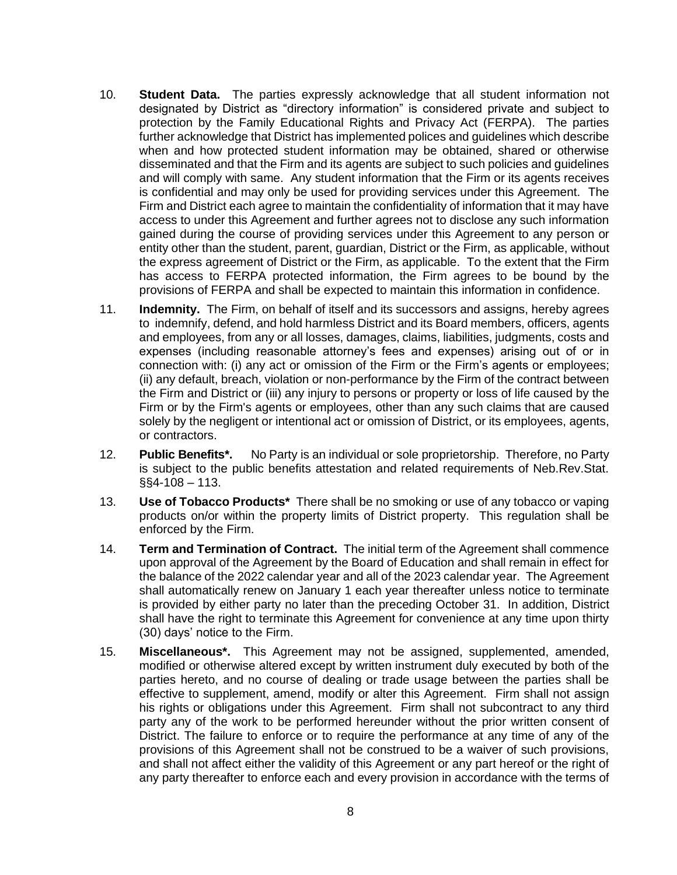- 10. **Student Data.** The parties expressly acknowledge that all student information not designated by District as "directory information" is considered private and subject to protection by the Family Educational Rights and Privacy Act (FERPA). The parties further acknowledge that District has implemented polices and guidelines which describe when and how protected student information may be obtained, shared or otherwise disseminated and that the Firm and its agents are subject to such policies and guidelines and will comply with same. Any student information that the Firm or its agents receives is confidential and may only be used for providing services under this Agreement. The Firm and District each agree to maintain the confidentiality of information that it may have access to under this Agreement and further agrees not to disclose any such information gained during the course of providing services under this Agreement to any person or entity other than the student, parent, guardian, District or the Firm, as applicable, without the express agreement of District or the Firm, as applicable. To the extent that the Firm has access to FERPA protected information, the Firm agrees to be bound by the provisions of FERPA and shall be expected to maintain this information in confidence.
- 11. **Indemnity.** The Firm, on behalf of itself and its successors and assigns, hereby agrees to indemnify, defend, and hold harmless District and its Board members, officers, agents and employees, from any or all losses, damages, claims, liabilities, judgments, costs and expenses (including reasonable attorney's fees and expenses) arising out of or in connection with: (i) any act or omission of the Firm or the Firm's agents or employees; (ii) any default, breach, violation or non-performance by the Firm of the contract between the Firm and District or (iii) any injury to persons or property or loss of life caused by the Firm or by the Firm's agents or employees, other than any such claims that are caused solely by the negligent or intentional act or omission of District, or its employees, agents, or contractors.
- 12. **Public Benefits\*.** No Party is an individual or sole proprietorship. Therefore, no Party is subject to the public benefits attestation and related requirements of Neb.Rev.Stat. §§4-108 – 113.
- 13. **Use of Tobacco Products\*** There shall be no smoking or use of any tobacco or vaping products on/or within the property limits of District property. This regulation shall be enforced by the Firm.
- 14. **Term and Termination of Contract.** The initial term of the Agreement shall commence upon approval of the Agreement by the Board of Education and shall remain in effect for the balance of the 2022 calendar year and all of the 2023 calendar year. The Agreement shall automatically renew on January 1 each year thereafter unless notice to terminate is provided by either party no later than the preceding October 31. In addition, District shall have the right to terminate this Agreement for convenience at any time upon thirty (30) days' notice to the Firm.
- 15. **Miscellaneous\*.** This Agreement may not be assigned, supplemented, amended, modified or otherwise altered except by written instrument duly executed by both of the parties hereto, and no course of dealing or trade usage between the parties shall be effective to supplement, amend, modify or alter this Agreement. Firm shall not assign his rights or obligations under this Agreement. Firm shall not subcontract to any third party any of the work to be performed hereunder without the prior written consent of District. The failure to enforce or to require the performance at any time of any of the provisions of this Agreement shall not be construed to be a waiver of such provisions, and shall not affect either the validity of this Agreement or any part hereof or the right of any party thereafter to enforce each and every provision in accordance with the terms of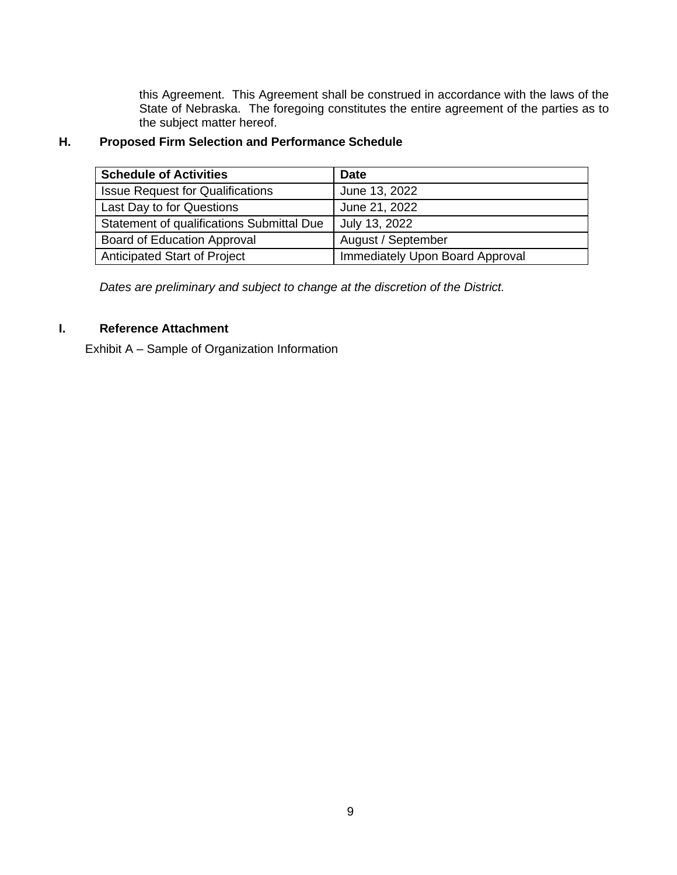this Agreement. This Agreement shall be construed in accordance with the laws of the State of Nebraska. The foregoing constitutes the entire agreement of the parties as to the subject matter hereof.

# **H. Proposed Firm Selection and Performance Schedule**

| <b>Schedule of Activities</b>             | <b>Date</b>                            |
|-------------------------------------------|----------------------------------------|
| <b>Issue Request for Qualifications</b>   | June 13, 2022                          |
| Last Day to for Questions                 | June 21, 2022                          |
| Statement of qualifications Submittal Due | July 13, 2022                          |
| Board of Education Approval               | August / September                     |
| Anticipated Start of Project              | <b>Immediately Upon Board Approval</b> |

*Dates are preliminary and subject to change at the discretion of the District.*

## **I. Reference Attachment**

Exhibit A – Sample of Organization Information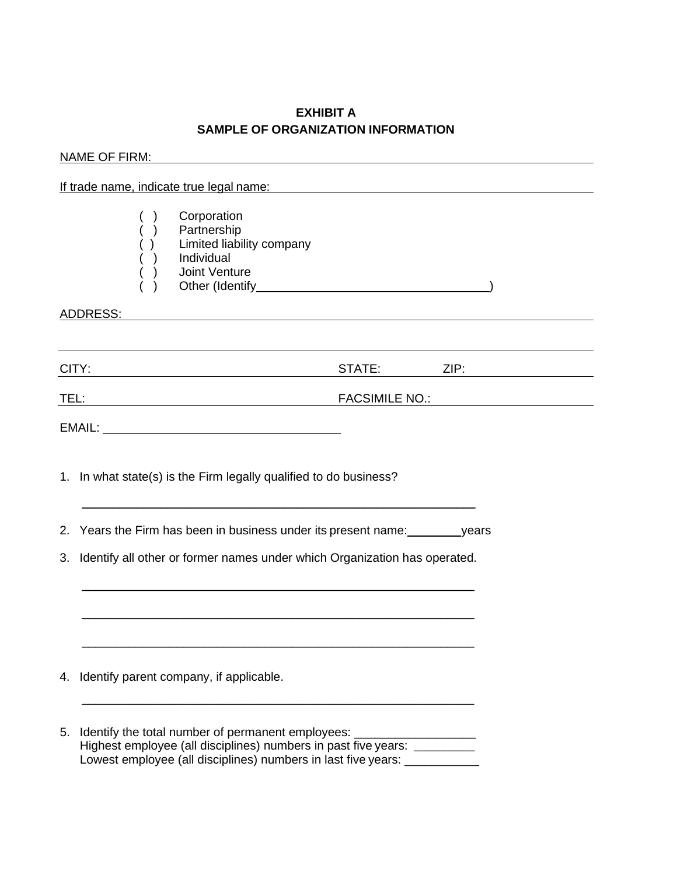## **EXHIBIT A SAMPLE OF ORGANIZATION INFORMATION**

|    | NAME OF FIRM:                                                                                                                                                                                                                                    |  |  |  |
|----|--------------------------------------------------------------------------------------------------------------------------------------------------------------------------------------------------------------------------------------------------|--|--|--|
|    | If trade name, indicate true legal name:<br>and the manufacture of the manufacture of the manufacture of the manufacture of the manufacture of the manufacture of the manufacture of the manufacture of the manufacture of the m                 |  |  |  |
|    | Corporation<br>Partnership<br>Limited liability company<br>Individual<br>Joint Venture                                                                                                                                                           |  |  |  |
|    | ADDRESS:<br><u>and the control of the control of the control of the control of the control of the control of the control of the control of the control of the control of the control of the control of the control of the control of the con</u> |  |  |  |
|    |                                                                                                                                                                                                                                                  |  |  |  |
|    | CITY:<br>STATE:<br>ZIP: 2000                                                                                                                                                                                                                     |  |  |  |
|    | <b>FACSIMILE NO.:</b><br>TEL:<br><u> 1980 - Johann Barbara, martin da basar a shekara 1980 - An tsara 1980 - An tsara 1980 - An tsara 1980 - An tsa</u>                                                                                          |  |  |  |
|    |                                                                                                                                                                                                                                                  |  |  |  |
|    | 1. In what state(s) is the Firm legally qualified to do business?                                                                                                                                                                                |  |  |  |
|    | 2. Years the Firm has been in business under its present name: vears                                                                                                                                                                             |  |  |  |
|    | 3. Identify all other or former names under which Organization has operated.                                                                                                                                                                     |  |  |  |
|    | 4. Identify parent company, if applicable.                                                                                                                                                                                                       |  |  |  |
| 5. | Identify the total number of permanent employees:<br>Highest employee (all disciplines) numbers in past five years: __________<br>Lowest employee (all disciplines) numbers in last five years: ____________                                     |  |  |  |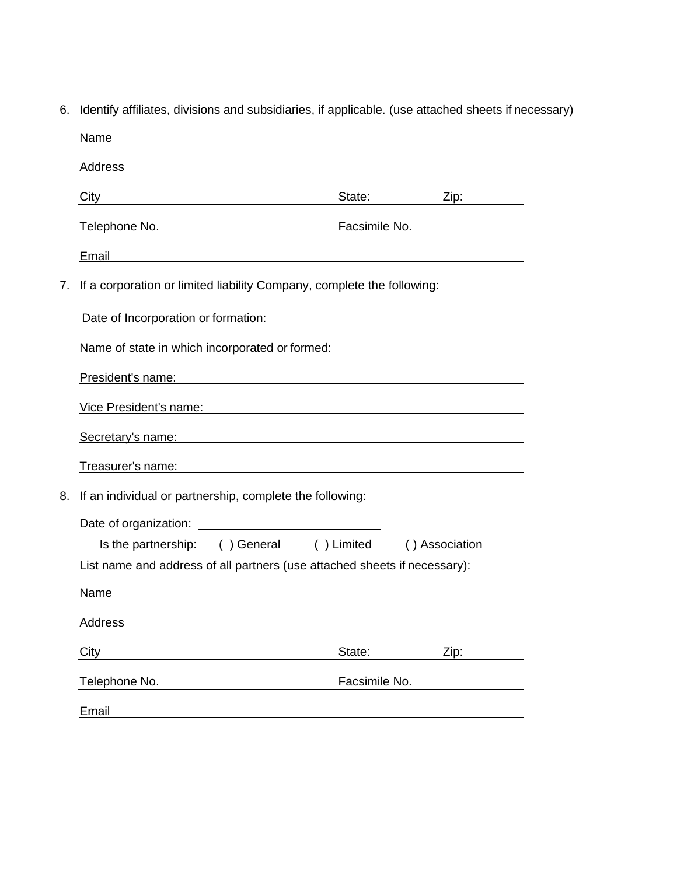| 6.                                                                           | Identify affiliates, divisions and subsidiaries, if applicable. (use attached sheets if necessary)                                                                                                                             |               |             |  |  |
|------------------------------------------------------------------------------|--------------------------------------------------------------------------------------------------------------------------------------------------------------------------------------------------------------------------------|---------------|-------------|--|--|
|                                                                              | Name                                                                                                                                                                                                                           |               |             |  |  |
|                                                                              | Address Address Address Address Address Address Address Address Address Address Address Address Address Address Address Address Address Address Address Address Address Address Address Address Address Address Address Addres |               |             |  |  |
|                                                                              | City <b>City</b>                                                                                                                                                                                                               |               | State: Zip: |  |  |
|                                                                              | Telephone No. <b>Facsimile No.</b> Facsimile No.                                                                                                                                                                               |               |             |  |  |
|                                                                              | Ema <u>il Communication and Communication and Communication and Communication and Communication and Communication</u>                                                                                                          |               |             |  |  |
| If a corporation or limited liability Company, complete the following:<br>7. |                                                                                                                                                                                                                                |               |             |  |  |
|                                                                              | Date of Incorporation or formation: Date of Incorporation of the state of Incorporation of the state of the state of the state of the state of the state of the state of the state of the state of the state of the state of t |               |             |  |  |
|                                                                              | Name of state in which incorporated or formed:<br>Name of state in which incorporated or formed:                                                                                                                               |               |             |  |  |
|                                                                              | President's name: example and a series of the series of the series of the series of the series of the series of the series of the series of the series of the series of the series of the series of the series of the series o |               |             |  |  |
|                                                                              | Vice President's name: Wickell All Allen Contract Contract Contract Contract Contract Contract Contract Contract Contract Contract Contract Contract Contract Contract Contract Contract Contract Contract Contract Contract C |               |             |  |  |
|                                                                              | Secretary's name: experience of the secretary in the secretary is not the secretary in the secretary in the secretary is not the secretary in the secretary in the secretary in the secretary is not the secretary in the secr |               |             |  |  |
|                                                                              | Treasurer's name: example and a series of the series of the series of the series of the series of the series of the series of the series of the series of the series of the series of the series of the series of the series o |               |             |  |  |
| 8.                                                                           | If an individual or partnership, complete the following:                                                                                                                                                                       |               |             |  |  |
|                                                                              |                                                                                                                                                                                                                                |               |             |  |  |
|                                                                              | Is the partnership: () General () Limited () Association                                                                                                                                                                       |               |             |  |  |
|                                                                              | List name and address of all partners (use attached sheets if necessary):                                                                                                                                                      |               |             |  |  |
|                                                                              | Name                                                                                                                                                                                                                           |               |             |  |  |
|                                                                              | Address                                                                                                                                                                                                                        |               |             |  |  |
|                                                                              | City                                                                                                                                                                                                                           | State:        | Zip:        |  |  |
|                                                                              | Telephone No.                                                                                                                                                                                                                  | Facsimile No. |             |  |  |
|                                                                              | Email                                                                                                                                                                                                                          |               |             |  |  |